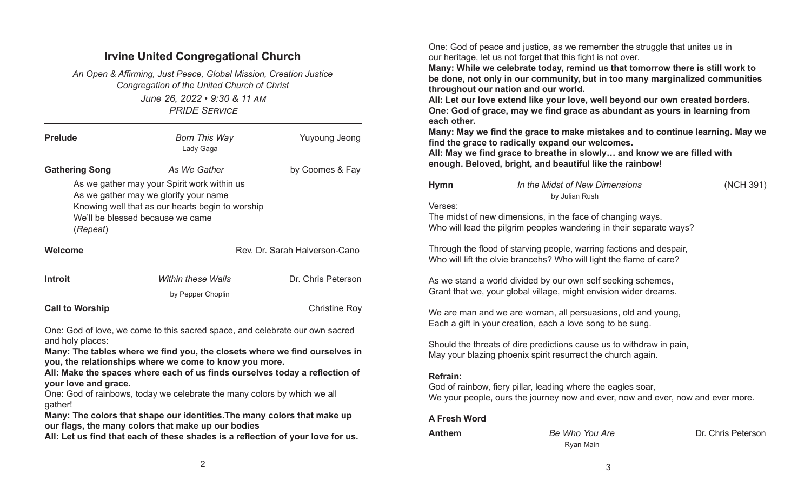## Irvine United Congregational Church

June 26, 2022 • 9:30 & 11 AM PRIDE SERVICE An Open & Affirming, Just Peace, Global Mission, Creation Justice Congregation of the United Church of Christ

| <b>Prelude</b>                                                                                                                                                                                                                                                                                                                                                                                                                                                                                                     | Born This Way<br>Lady Gaga                                                                                                                                                                   | <b>Yuyoung Jeong</b>          |  |  |  |  |
|--------------------------------------------------------------------------------------------------------------------------------------------------------------------------------------------------------------------------------------------------------------------------------------------------------------------------------------------------------------------------------------------------------------------------------------------------------------------------------------------------------------------|----------------------------------------------------------------------------------------------------------------------------------------------------------------------------------------------|-------------------------------|--|--|--|--|
| <b>Gathering Song</b><br>(Repeat)                                                                                                                                                                                                                                                                                                                                                                                                                                                                                  | As We Gather<br>As we gather may your Spirit work within us<br>As we gather may we glorify your name<br>Knowing well that as our hearts begin to worship<br>We'll be blessed because we came | by Coomes & Fay               |  |  |  |  |
| Welcome                                                                                                                                                                                                                                                                                                                                                                                                                                                                                                            |                                                                                                                                                                                              | Rev. Dr. Sarah Halverson-Cano |  |  |  |  |
| <b>Introit</b>                                                                                                                                                                                                                                                                                                                                                                                                                                                                                                     | Within these Walls<br>by Pepper Choplin                                                                                                                                                      | Dr. Chris Peterson            |  |  |  |  |
| <b>Call to Worship</b>                                                                                                                                                                                                                                                                                                                                                                                                                                                                                             |                                                                                                                                                                                              | <b>Christine Roy</b>          |  |  |  |  |
| One: God of love, we come to this sacred space, and celebrate our own sacred<br>and holy places:<br>Many: The tables where we find you, the closets where we find ourselves in<br>you, the relationships where we come to know you more.<br>All: Make the spaces where each of us finds ourselves today a reflection of<br>your love and grace.<br>One: God of rainbows, today we celebrate the many colors by which we all<br>gather!<br>Many: The colors that shape our identities. The many colors that make up |                                                                                                                                                                                              |                               |  |  |  |  |
|                                                                                                                                                                                                                                                                                                                                                                                                                                                                                                                    |                                                                                                                                                                                              |                               |  |  |  |  |

our flags, the many colors that make up our bodies

All: Let us find that each of these shades is a reflection of your love for us.

One: God of peace and justice, as we remember the struggle that unites us in our heritage, let us not forget that this fight is not over.

Many: While we celebrate today, remind us that tomorrow there is still work to be done, not only in our community, but in too many marginalized communities throughout our nation and our world.

All: Let our love extend like your love, well beyond our own created borders. One: God of grace, may we find grace as abundant as yours in learning from each other.

Many: May we find the grace to make mistakes and to continue learning. May we find the grace to radically expand our welcomes.

All: May we find grace to breathe in slowly... and know we are filled with enough. Beloved, bright, and beautiful like the rainbow!

| <b>Hymn</b>         | In the Midst of New Dimensions<br>by Julian Rush                                                                                                | (NCH 391)          |
|---------------------|-------------------------------------------------------------------------------------------------------------------------------------------------|--------------------|
| Verses:             | The midst of new dimensions, in the face of changing ways.<br>Who will lead the pilgrim peoples wandering in their separate ways?               |                    |
|                     | Through the flood of starving people, warring factions and despair,<br>Who will lift the olvie brancehs? Who will light the flame of care?      |                    |
|                     | As we stand a world divided by our own self seeking schemes,<br>Grant that we, your global village, might envision wider dreams.                |                    |
|                     | We are man and we are woman, all persuasions, old and young,<br>Each a gift in your creation, each a love song to be sung.                      |                    |
|                     | Should the threats of dire predictions cause us to withdraw in pain,<br>May your blazing phoenix spirit resurrect the church again.             |                    |
| <b>Refrain:</b>     | God of rainbow, fiery pillar, leading where the eagles soar,<br>We your people, ours the journey now and ever, now and ever, now and ever more. |                    |
| <b>A Fresh Word</b> |                                                                                                                                                 |                    |
| <b>Anthem</b>       | Be Who You Are                                                                                                                                  | Dr. Chris Peterson |

Ryan Main